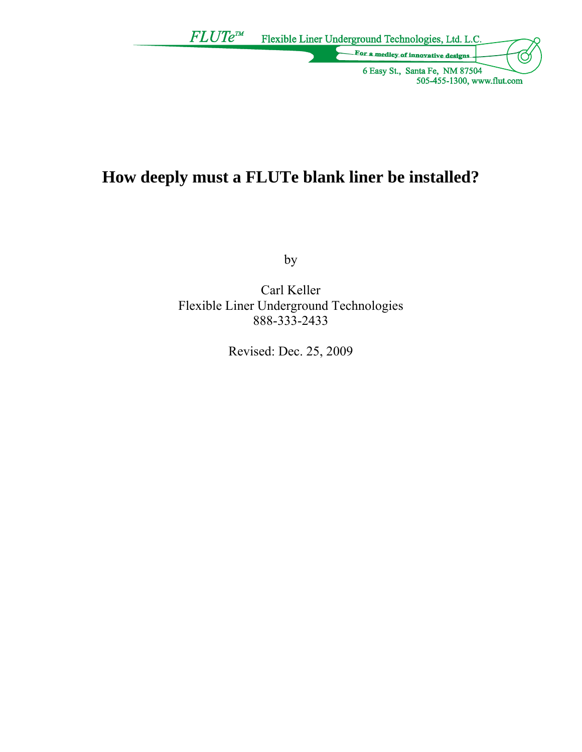

# **How deeply must a FLUTe blank liner be installed?**

by

Carl Keller Flexible Liner Underground Technologies 888-333-2433

Revised: Dec. 25, 2009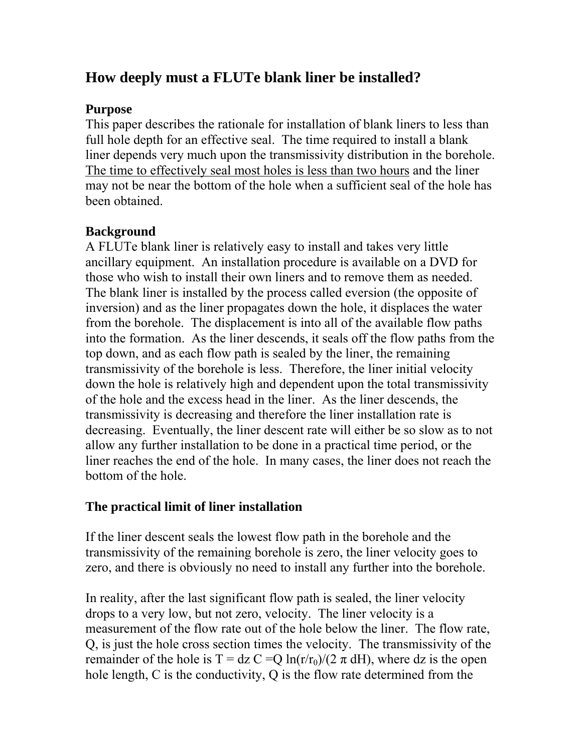# **How deeply must a FLUTe blank liner be installed?**

### **Purpose**

This paper describes the rationale for installation of blank liners to less than full hole depth for an effective seal. The time required to install a blank liner depends very much upon the transmissivity distribution in the borehole. The time to effectively seal most holes is less than two hours and the liner may not be near the bottom of the hole when a sufficient seal of the hole has been obtained.

## **Background**

A FLUTe blank liner is relatively easy to install and takes very little ancillary equipment. An installation procedure is available on a DVD for those who wish to install their own liners and to remove them as needed. The blank liner is installed by the process called eversion (the opposite of inversion) and as the liner propagates down the hole, it displaces the water from the borehole. The displacement is into all of the available flow paths into the formation. As the liner descends, it seals off the flow paths from the top down, and as each flow path is sealed by the liner, the remaining transmissivity of the borehole is less. Therefore, the liner initial velocity down the hole is relatively high and dependent upon the total transmissivity of the hole and the excess head in the liner. As the liner descends, the transmissivity is decreasing and therefore the liner installation rate is decreasing. Eventually, the liner descent rate will either be so slow as to not allow any further installation to be done in a practical time period, or the liner reaches the end of the hole. In many cases, the liner does not reach the bottom of the hole.

### **The practical limit of liner installation**

If the liner descent seals the lowest flow path in the borehole and the transmissivity of the remaining borehole is zero, the liner velocity goes to zero, and there is obviously no need to install any further into the borehole.

In reality, after the last significant flow path is sealed, the liner velocity drops to a very low, but not zero, velocity. The liner velocity is a measurement of the flow rate out of the hole below the liner. The flow rate, Q, is just the hole cross section times the velocity. The transmissivity of the remainder of the hole is T = dz C = Q ln(r/r<sub>0</sub>)/(2  $\pi$  dH), where dz is the open hole length, C is the conductivity, Q is the flow rate determined from the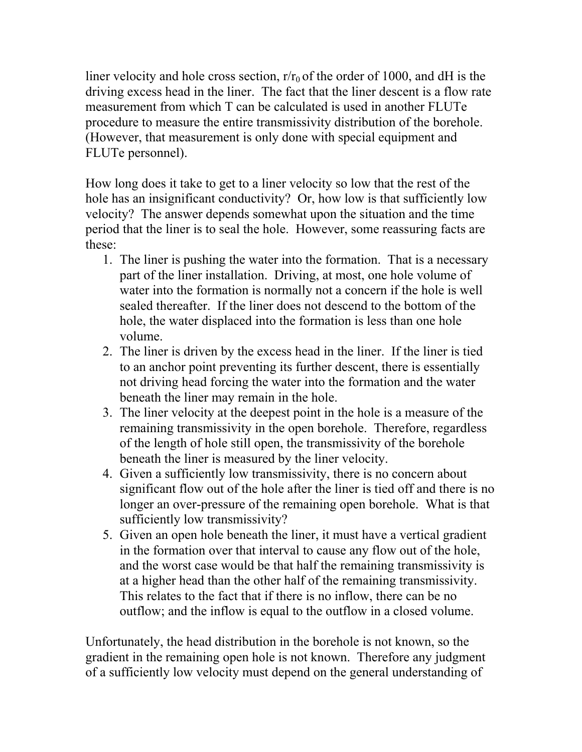liner velocity and hole cross section,  $r/r_0$  of the order of 1000, and dH is the driving excess head in the liner. The fact that the liner descent is a flow rate measurement from which T can be calculated is used in another FLUTe procedure to measure the entire transmissivity distribution of the borehole. (However, that measurement is only done with special equipment and FLUTe personnel).

How long does it take to get to a liner velocity so low that the rest of the hole has an insignificant conductivity? Or, how low is that sufficiently low velocity? The answer depends somewhat upon the situation and the time period that the liner is to seal the hole. However, some reassuring facts are these:

- 1. The liner is pushing the water into the formation. That is a necessary part of the liner installation. Driving, at most, one hole volume of water into the formation is normally not a concern if the hole is well sealed thereafter. If the liner does not descend to the bottom of the hole, the water displaced into the formation is less than one hole volume.
- 2. The liner is driven by the excess head in the liner. If the liner is tied to an anchor point preventing its further descent, there is essentially not driving head forcing the water into the formation and the water beneath the liner may remain in the hole.
- 3. The liner velocity at the deepest point in the hole is a measure of the remaining transmissivity in the open borehole. Therefore, regardless of the length of hole still open, the transmissivity of the borehole beneath the liner is measured by the liner velocity.
- 4. Given a sufficiently low transmissivity, there is no concern about significant flow out of the hole after the liner is tied off and there is no longer an over-pressure of the remaining open borehole. What is that sufficiently low transmissivity?
- 5. Given an open hole beneath the liner, it must have a vertical gradient in the formation over that interval to cause any flow out of the hole, and the worst case would be that half the remaining transmissivity is at a higher head than the other half of the remaining transmissivity. This relates to the fact that if there is no inflow, there can be no outflow; and the inflow is equal to the outflow in a closed volume.

Unfortunately, the head distribution in the borehole is not known, so the gradient in the remaining open hole is not known. Therefore any judgment of a sufficiently low velocity must depend on the general understanding of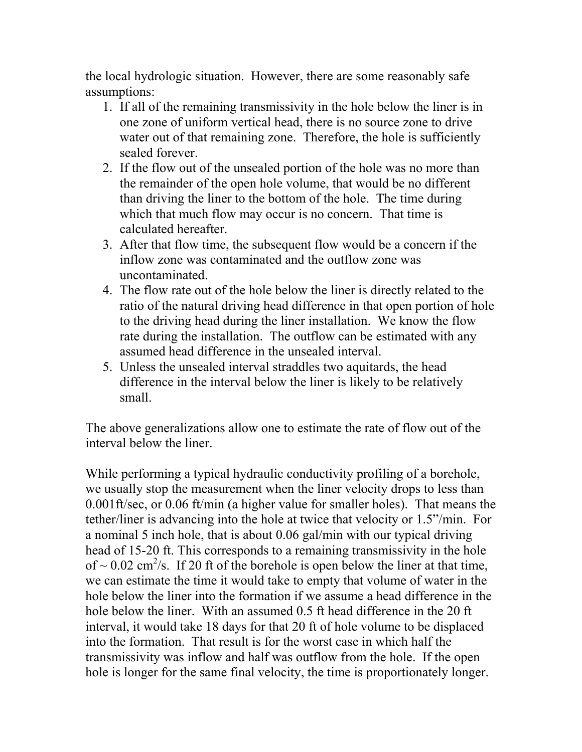the local hydrologic situation. However, there are some reasonably safe assumptions:

- 1. If all of the remaining transmissivity in the hole below the liner is in one zone of uniform vertical head, there is no source zone to drive water out of that remaining zone. Therefore, the hole is sufficiently sealed forever.
- 2. If the flow out of the unsealed portion of the hole was no more than the remainder of the open hole volume, that would be no different than driving the liner to the bottom of the hole. The time during which that much flow may occur is no concern. That time is calculated hereafter.
- 3. After that flow time, the subsequent flow would be a concern if the inflow zone was contaminated and the outflow zone was uncontaminated.
- 4. The flow rate out of the hole below the liner is directly related to the ratio of the natural driving head difference in that open portion of hole to the driving head during the liner installation. We know the flow rate during the installation. The outflow can be estimated with any assumed head difference in the unsealed interval.
- 5. Unless the unsealed interval straddles two aquitards, the head difference in the interval below the liner is likely to be relatively small.

The above generalizations allow one to estimate the rate of flow out of the interval below the liner.

While performing a typical hydraulic conductivity profiling of a borehole, we usually stop the measurement when the liner velocity drops to less than 0.001ft/sec, or 0.06 ft/min (a higher value for smaller holes). That means the tether/liner is advancing into the hole at twice that velocity or 1.5"/min. For a nominal 5 inch hole, that is about 0.06 gal/min with our typical driving head of 15-20 ft. This corresponds to a remaining transmissivity in the hole of  $\sim$  0.02 cm<sup>2</sup>/s. If 20 ft of the borehole is open below the liner at that time, we can estimate the time it would take to empty that volume of water in the hole below the liner into the formation if we assume a head difference in the hole below the liner. With an assumed 0.5 ft head difference in the 20 ft interval, it would take 18 days for that 20 ft of hole volume to be displaced into the formation. That result is for the worst case in which half the transmissivity was inflow and half was outflow from the hole. If the open hole is longer for the same final velocity, the time is proportionately longer.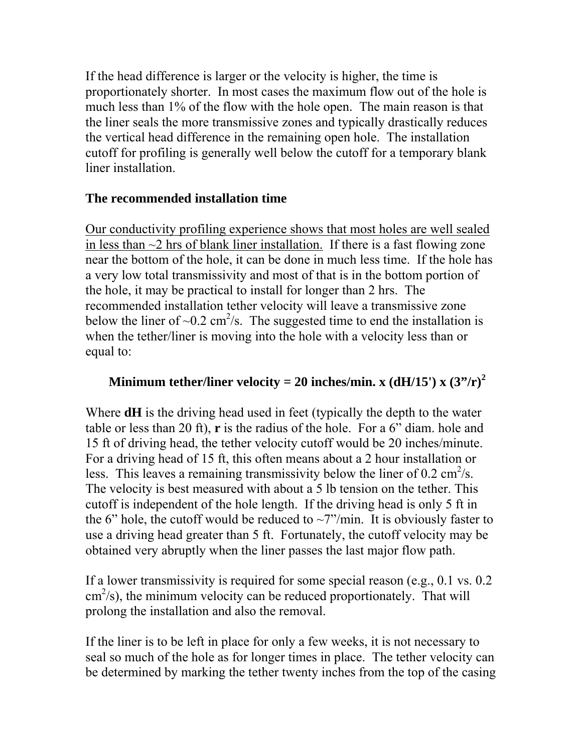If the head difference is larger or the velocity is higher, the time is proportionately shorter. In most cases the maximum flow out of the hole is much less than 1% of the flow with the hole open. The main reason is that the liner seals the more transmissive zones and typically drastically reduces the vertical head difference in the remaining open hole. The installation cutoff for profiling is generally well below the cutoff for a temporary blank liner installation.

#### **The recommended installation time**

Our conductivity profiling experience shows that most holes are well sealed in less than  $\sim$ 2 hrs of blank liner installation. If there is a fast flowing zone near the bottom of the hole, it can be done in much less time. If the hole has a very low total transmissivity and most of that is in the bottom portion of the hole, it may be practical to install for longer than 2 hrs. The recommended installation tether velocity will leave a transmissive zone below the liner of  $\sim 0.2$  cm<sup>2</sup>/s. The suggested time to end the installation is when the tether/liner is moving into the hole with a velocity less than or equal to:

#### **Minimum tether/liner velocity = 20 inches/min. x (dH/15') x (3"/r)<sup>2</sup>**

Where **dH** is the driving head used in feet (typically the depth to the water table or less than 20 ft), **r** is the radius of the hole. For a 6" diam. hole and 15 ft of driving head, the tether velocity cutoff would be 20 inches/minute. For a driving head of 15 ft, this often means about a 2 hour installation or less. This leaves a remaining transmissivity below the liner of  $0.2 \text{ cm}^2/\text{s}$ . The velocity is best measured with about a 5 lb tension on the tether. This cutoff is independent of the hole length. If the driving head is only 5 ft in the 6" hole, the cutoff would be reduced to  $\sim$ 7"/min. It is obviously faster to use a driving head greater than 5 ft. Fortunately, the cutoff velocity may be obtained very abruptly when the liner passes the last major flow path.

If a lower transmissivity is required for some special reason (e.g., 0.1 vs. 0.2 cm 2 /s), the minimum velocity can be reduced proportionately. That will prolong the installation and also the removal.

If the liner is to be left in place for only a few weeks, it is not necessary to seal so much of the hole as for longer times in place. The tether velocity can be determined by marking the tether twenty inches from the top of the casing